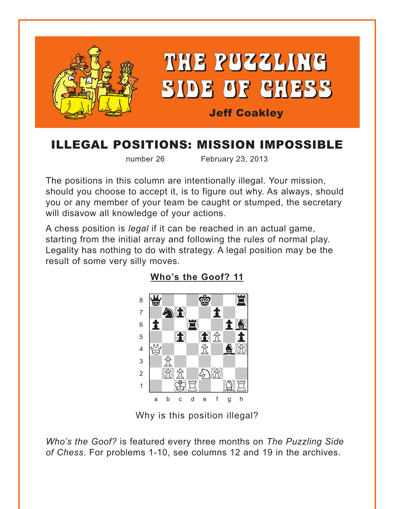<span id="page-0-0"></span>

## ILLEGAL POSITIONS: MISSION IMPOSSIBLE

number 26 February 23, 2013

The positions in this column are intentionally illegal. Your mission, should you choose to accept it, is to figure out why. As always, should you or any member of your team be caught or stumped, the secretary will disavow all knowledge of your actions.

A chess position is *legal* if it can be reached in an actual game, starting from the initial array and following the rules of normal play. Legality has nothing to do with strategy. A legal position may be the result of some very silly moves.



**[Who's the Goof? 11](#page-3-0)**

Why is this position illegal?

*Who's the Goof?* is featured every three months on *The Puzzling Side of Chess*. For problems 1-10, see columns 12 and 19 in the archives.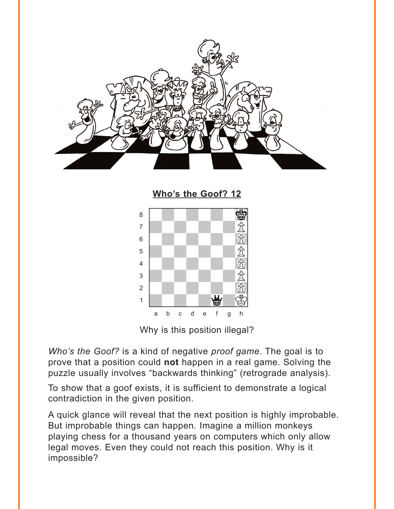<span id="page-1-0"></span>

**[Who's the Goof? 12](#page-3-0)** where the contribution  $\frac{1}{2}$  $\sim$  and the contribution of  $\sim$ 



Why is this position illegal?

*Who's the Goof?* is a kind of negative *proof game*. The goal is to prove that a position could **not** happen in a real game. Solving the puzzle usually involves "backwards thinking" (retrograde analysis).

To show that a goof exists, it is sufficient to demonstrate a logical contradiction in the given position.

A quick glance will reveal that the next position is highly improbable. But improbable things can happen. Imagine a million monkeys playing chess for a thousand years on computers which only allow legal moves. Even they could not reach this position. Why is it impossible?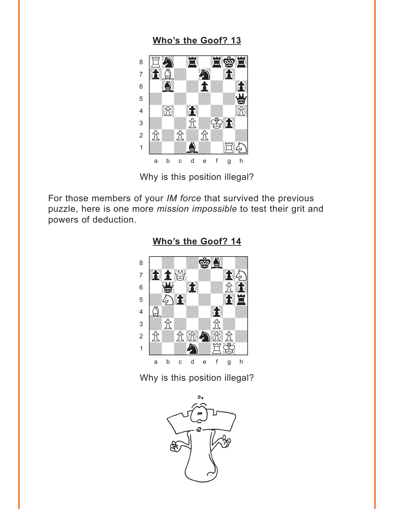### Who's the Goof? 13

<span id="page-2-0"></span>

Why is this position illegal?

For those members of your *IM force* that survived the previous puzzle, here is one more mission impossible to test their grit and powers of deduction.



#### Who's the Goof? 14

#### Why is this position illegal?

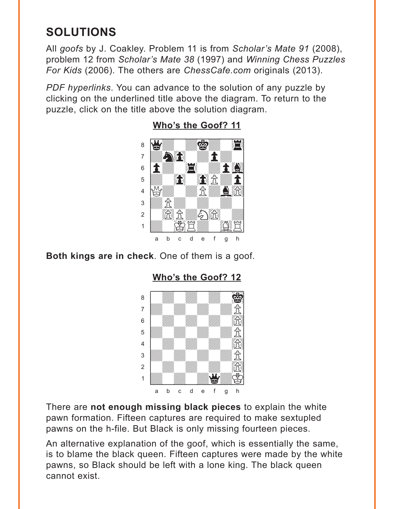# <span id="page-3-0"></span>**SOLUTIONS**

All *goofs* by J. Coakley. Problem 11 is from *Scholar's Mate 91* (2008), problem 12 from *Scholar's Mate 38* (1997) and *Winning Chess Puzzles For Kids* (2006). The others are *ChessCafe.com* originals (2013).

*PDF hyperlinks*. You can advance to the solution of any puzzle by clicking on the underlined title above the diagram. To return to the puzzle, click on the title above the solution diagram.



**[Who's the Goof? 11](#page-0-0)**

**Both kings are in check**. One of them is a goof.

**[Who's the Goof? 12](#page-1-0)**



There are **not enough missing black pieces** to explain the white pawn formation. Fifteen captures are required to make sextupled pawns on the h-file. But Black is only missing fourteen pieces.

An alternative explanation of the goof, which is essentially the same, is to blame the black queen. Fifteen captures were made by the white pawns, so Black should be left with a lone king. The black queen cannot exist.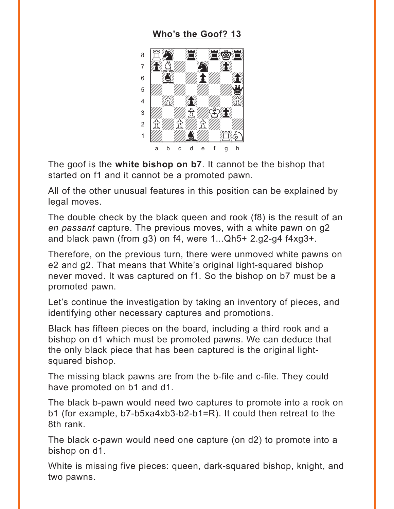### **[Who's the Goof? 13](#page-2-0)**

<span id="page-4-0"></span>

The goof is the **white bishop on b7**. It cannot be the bishop that started on f1 and it cannot be a promoted pawn.

All of the other unusual features in this position can be explained by legal moves.

The double check by the black queen and rook (f8) is the result of an *en passant* capture. The previous moves, with a white pawn on g2 and black pawn (from g3) on f4, were 1...Qh5+ 2.g2-g4 f4xg3+.

Therefore, on the previous turn, there were unmoved white pawns on e2 and g2. That means that White's original light-squared bishop never moved. It was captured on f1. So the bishop on b7 must be a promoted pawn.

Let's continue the investigation by taking an inventory of pieces, and identifying other necessary captures and promotions.

Black has fifteen pieces on the board, including a third rook and a bishop on d1 which must be promoted pawns. We can deduce that the only black piece that has been captured is the original lightsquared bishop.

The missing black pawns are from the b-file and c-file. They could have promoted on b1 and d1.

The black b-pawn would need two captures to promote into a rook on b1 (for example, b7-b5xa4xb3-b2-b1=R). It could then retreat to the 8th rank.

The black c-pawn would need one capture (on d2) to promote into a bishop on d1.

White is missing five pieces: queen, dark-squared bishop, knight, and two pawns.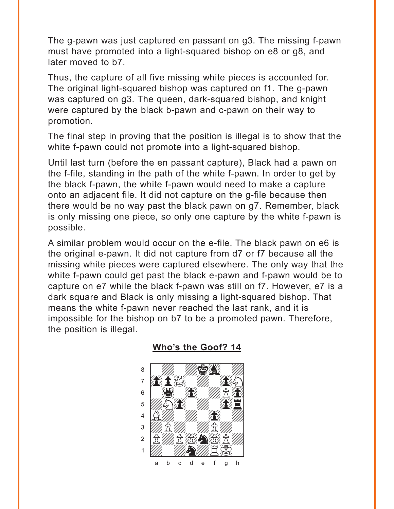<span id="page-5-0"></span>The g-pawn was just captured en passant on g3. The missing f-pawn must have promoted into a light-squared bishop on e8 or g8, and later moved to b7.

Thus, the capture of all five missing white pieces is accounted for. The original light-squared bishop was captured on f1. The g-pawn was captured on g3. The queen, dark-squared bishop, and knight were captured by the black b-pawn and c-pawn on their way to promotion.

The final step in proving that the position is illegal is to show that the white f-pawn could not promote into a light-squared bishop.

Until last turn (before the en passant capture), Black had a pawn on the f-file, standing in the path of the white f-pawn. In order to get by the black f-pawn, the white f-pawn would need to make a capture onto an adjacent file. It did not capture on the g-file because then there would be no way past the black pawn on g7. Remember, black is only missing one piece, so only one capture by the white f-pawn is possible.

A similar problem would occur on the e-file. The black pawn on e6 is the original e-pawn. It did not capture from d7 or f7 because all the missing white pieces were captured elsewhere. The only way that the white f-pawn could get past the black e-pawn and f-pawn would be to capture on e7 while the black f-pawn was still on f7. However, e7 is a dark square and Black is only missing a light-squared bishop. That means the white f-pawn never reached the last rank, and it is impossible for the bishop on b7 to be a promoted pawn. Therefore, the position is illegal.



#### **[Who's the Goof? 14](#page-2-0)**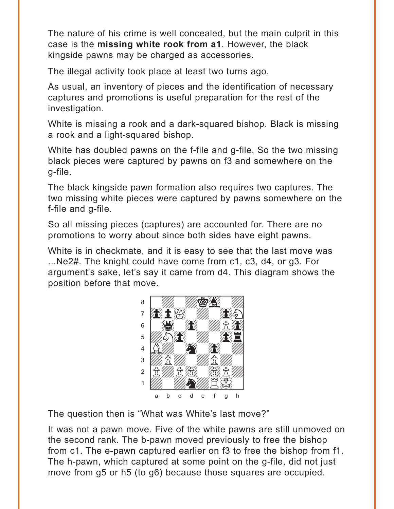The nature of his crime is well concealed, but the main culprit in this case is the missing white rook from a1. However, the black kingside pawns may be charged as accessories.

The illegal activity took place at least two turns ago.

As usual, an inventory of pieces and the identification of necessary captures and promotions is useful preparation for the rest of the investigation.

White is missing a rook and a dark-squared bishop. Black is missing a rook and a light-squared bishop.

White has doubled pawns on the f-file and g-file. So the two missing black pieces were captured by pawns on f3 and somewhere on the g-file.

The black kingside pawn formation also requires two captures. The two missing white pieces were captured by pawns somewhere on the f-file and g-file.

So all missing pieces (captures) are accounted for. There are no promotions to worry about since both sides have eight pawns.

White is in checkmate, and it is easy to see that the last move was ...Ne2#. The knight could have come from c1, c3, d4, or g3. For argument's sake, let's say it came from d4. This diagram shows the position before that move.



The question then is "What was White's last move?"

It was not a pawn move. Five of the white pawns are still unmoved on the second rank. The b-pawn moved previously to free the bishop from c1. The e-pawn captured earlier on f3 to free the bishop from f1. The h-pawn, which captured at some point on the g-file, did not just move from g5 or h5 (to g6) because those squares are occupied.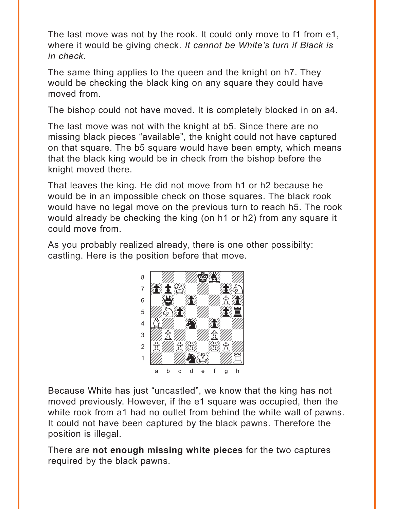The last move was not by the rook. It could only move to f1 from e1, where it would be giving check. *It cannot be White's turn if Black is in check*.

The same thing applies to the queen and the knight on h7. They would be checking the black king on any square they could have moved from.

The bishop could not have moved. It is completely blocked in on a4.

The last move was not with the knight at b5. Since there are no missing black pieces "available", the knight could not have captured on that square. The b5 square would have been empty, which means that the black king would be in check from the bishop before the knight moved there.

That leaves the king. He did not move from h1 or h2 because he would be in an impossible check on those squares. The black rook would have no legal move on the previous turn to reach h5. The rook would already be checking the king (on h1 or h2) from any square it could move from.

As you probably realized already, there is one other possibilty: castling. Here is the position before that move.



Because White has just "uncastled", we know that the king has not moved previously. However, if the e1 square was occupied, then the white rook from a1 had no outlet from behind the white wall of pawns. It could not have been captured by the black pawns. Therefore the position is illegal.

There are **not enough missing white pieces** for the two captures required by the black pawns.